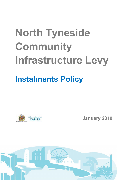## North Tyneside Community Infrastructure Levy

## Instalments Policy



January 2019